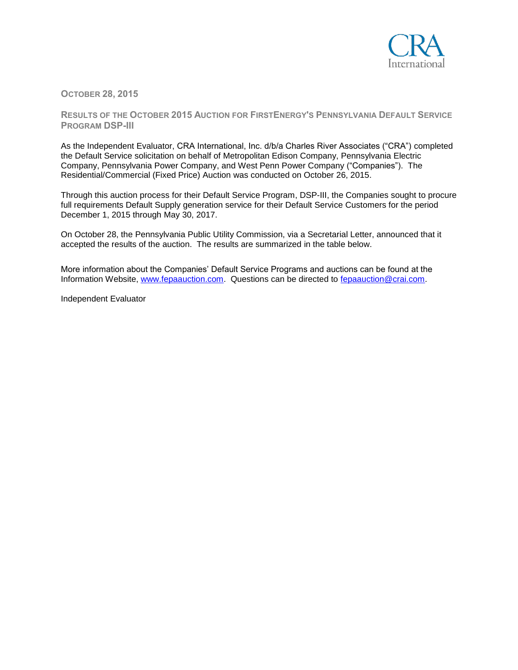

**OCTOBER 28, 2015**

**RESULTS OF THE OCTOBER 2015 AUCTION FOR FIRSTENERGY'S PENNSYLVANIA DEFAULT SERVICE PROGRAM DSP-III**

As the Independent Evaluator, CRA International, Inc. d/b/a Charles River Associates ("CRA") completed the Default Service solicitation on behalf of Metropolitan Edison Company, Pennsylvania Electric Company, Pennsylvania Power Company, and West Penn Power Company ("Companies"). The Residential/Commercial (Fixed Price) Auction was conducted on October 26, 2015.

Through this auction process for their Default Service Program, DSP-III, the Companies sought to procure full requirements Default Supply generation service for their Default Service Customers for the period December 1, 2015 through May 30, 2017.

On October 28, the Pennsylvania Public Utility Commission, via a Secretarial Letter, announced that it accepted the results of the auction. The results are summarized in the table below.

More information about the Companies' Default Service Programs and auctions can be found at the Information Website, [www.fepaauction.com.](http://www.fepaauction.com/) Questions can be directed to [fepaauction@crai.com.](mailto:fepaauction@crai.com)

Independent Evaluator